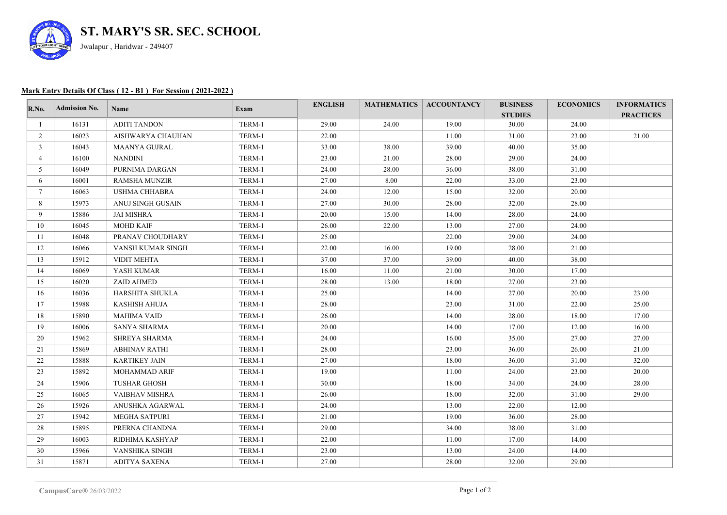

## **Mark Entry Details Of Class ( 12 - B1 ) For Session ( 2021-2022 )**

| R.No.          | <b>Admission No.</b> | Name                 | Exam   | <b>ENGLISH</b> |       | <b>MATHEMATICS   ACCOUNTANCY</b> | <b>BUSINESS</b><br><b>STUDIES</b> | <b>ECONOMICS</b> | <b>INFORMATICS</b><br><b>PRACTICES</b> |
|----------------|----------------------|----------------------|--------|----------------|-------|----------------------------------|-----------------------------------|------------------|----------------------------------------|
|                | 16131                | <b>ADITI TANDON</b>  | TERM-1 | 29.00          | 24.00 | 19.00                            | 30.00                             | 24.00            |                                        |
| $\overline{2}$ | 16023                | AISHWARYA CHAUHAN    | TERM-1 | 22.00          |       | 11.00                            | 31.00                             | 23.00            | 21.00                                  |
| $\mathbf{3}$   | 16043                | <b>MAANYA GUJRAL</b> | TERM-1 | 33.00          | 38.00 | 39.00                            | 40.00                             | 35.00            |                                        |
| 4              | 16100                | <b>NANDINI</b>       | TERM-1 | 23.00          | 21.00 | 28.00                            | 29.00                             | 24.00            |                                        |
| 5              | 16049                | PURNIMA DARGAN       | TERM-1 | 24.00          | 28.00 | 36.00                            | 38.00                             | 31.00            |                                        |
| 6              | 16001                | <b>RAMSHA MUNZIR</b> | TERM-1 | 27.00          | 8.00  | 22.00                            | 33.00                             | 23.00            |                                        |
| $\tau$         | 16063                | <b>USHMA CHHABRA</b> | TERM-1 | 24.00          | 12.00 | 15.00                            | 32.00                             | 20.00            |                                        |
| 8              | 15973                | ANUJ SINGH GUSAIN    | TERM-1 | 27.00          | 30.00 | 28.00                            | 32.00                             | 28.00            |                                        |
| 9              | 15886                | <b>JAI MISHRA</b>    | TERM-1 | 20.00          | 15.00 | 14.00                            | 28.00                             | 24.00            |                                        |
| 10             | 16045                | <b>MOHD KAIF</b>     | TERM-1 | 26.00          | 22.00 | 13.00                            | 27.00                             | 24.00            |                                        |
| 11             | 16048                | PRANAV CHOUDHARY     | TERM-1 | 25.00          |       | 22.00                            | 29.00                             | 24.00            |                                        |
| 12             | 16066                | VANSH KUMAR SINGH    | TERM-1 | 22.00          | 16.00 | 19.00                            | 28.00                             | 21.00            |                                        |
| 13             | 15912                | <b>VIDIT MEHTA</b>   | TERM-1 | 37.00          | 37.00 | 39.00                            | 40.00                             | 38.00            |                                        |
| 14             | 16069                | YASH KUMAR           | TERM-1 | 16.00          | 11.00 | 21.00                            | 30.00                             | 17.00            |                                        |
| 15             | 16020                | ZAID AHMED           | TERM-1 | 28.00          | 13.00 | 18.00                            | 27.00                             | 23.00            |                                        |
| 16             | 16036                | HARSHITA SHUKLA      | TERM-1 | 25.00          |       | 14.00                            | 27.00                             | 20.00            | 23.00                                  |
| 17             | 15988                | <b>KASHISH AHUJA</b> | TERM-1 | 28.00          |       | 23.00                            | 31.00                             | 22.00            | 25.00                                  |
| 18             | 15890                | <b>MAHIMA VAID</b>   | TERM-1 | 26.00          |       | 14.00                            | 28.00                             | 18.00            | 17.00                                  |
| 19             | 16006                | SANYA SHARMA         | TERM-1 | 20.00          |       | 14.00                            | 17.00                             | 12.00            | 16.00                                  |
| 20             | 15962                | <b>SHREYA SHARMA</b> | TERM-1 | 24.00          |       | 16.00                            | 35.00                             | 27.00            | 27.00                                  |
| 21             | 15869                | <b>ABHINAV RATHI</b> | TERM-1 | 28.00          |       | 23.00                            | 36.00                             | 26.00            | 21.00                                  |
| 22             | 15888                | <b>KARTIKEY JAIN</b> | TERM-1 | 27.00          |       | 18.00                            | 36.00                             | 31.00            | 32.00                                  |
| 23             | 15892                | MOHAMMAD ARIF        | TERM-1 | 19.00          |       | 11.00                            | 24.00                             | 23.00            | 20.00                                  |
| 24             | 15906                | <b>TUSHAR GHOSH</b>  | TERM-1 | 30.00          |       | 18.00                            | 34.00                             | 24.00            | 28.00                                  |
| 25             | 16065                | VAIBHAV MISHRA       | TERM-1 | 26.00          |       | 18.00                            | 32.00                             | 31.00            | 29.00                                  |
| 26             | 15926                | ANUSHKA AGARWAL      | TERM-1 | 24.00          |       | 13.00                            | 22.00                             | 12.00            |                                        |
| 27             | 15942                | <b>MEGHA SATPURI</b> | TERM-1 | 21.00          |       | 19.00                            | 36.00                             | 28.00            |                                        |
| 28             | 15895                | PRERNA CHANDNA       | TERM-1 | 29.00          |       | 34.00                            | 38.00                             | 31.00            |                                        |
| 29             | 16003                | RIDHIMA KASHYAP      | TERM-1 | 22.00          |       | 11.00                            | 17.00                             | 14.00            |                                        |
| 30             | 15966                | VANSHIKA SINGH       | TERM-1 | 23.00          |       | 13.00                            | 24.00                             | 14.00            |                                        |
| 31             | 15871                | <b>ADITYA SAXENA</b> | TERM-1 | 27.00          |       | 28.00                            | 32.00                             | 29.00            |                                        |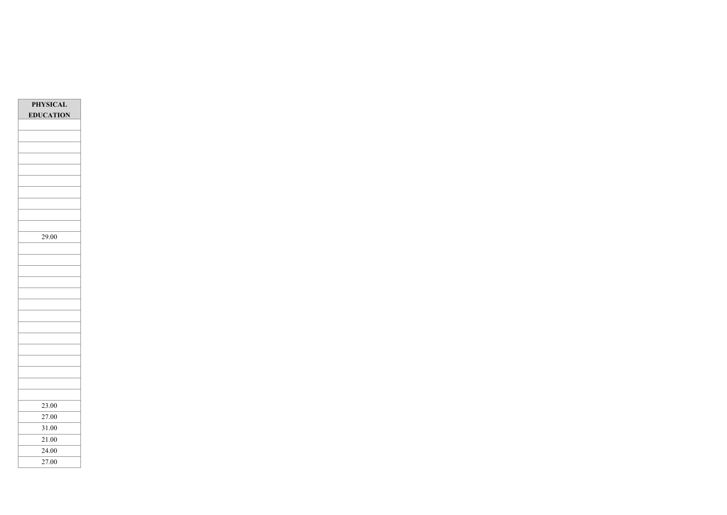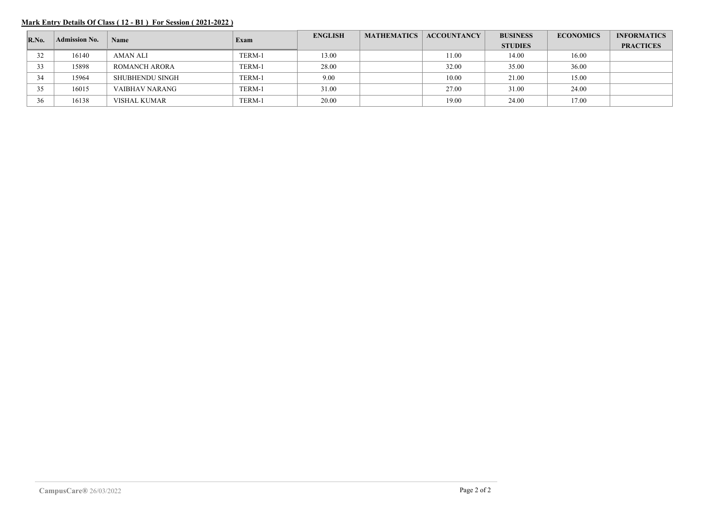## **Mark Entry Details Of Class ( 12 - B1 ) For Session ( 2021-2022 )**

| $\mathbf{R}.\mathbf{No}$ . | <b>Admission No.</b> | Name            | Exam   | <b>ENGLISH</b> | <b>MATHEMATICS</b> | <b>ACCOUNTANCY</b> | <b>BUSINESS</b> | <b>ECONOMICS</b> | <b>INFORMATICS</b> |
|----------------------------|----------------------|-----------------|--------|----------------|--------------------|--------------------|-----------------|------------------|--------------------|
|                            |                      |                 |        |                |                    |                    | <b>STUDIES</b>  |                  | <b>PRACTICES</b>   |
| 32                         | 16140                | <b>AMAN ALI</b> | TERM-1 | 13.00          |                    | 11.00              | 14.00           | 16.00            |                    |
| 33                         | 15898                | ROMANCH ARORA   | TERM-1 | 28.00          |                    | 32.00              | 35.00           | 36.00            |                    |
| 34                         | 15964                | SHUBHENDU SINGH | TERM-1 | 9.00           |                    | 10.00              | 21.00           | 15.00            |                    |
| 35                         | 16015                | VAIBHAV NARANG  | TERM-1 | 31.00          |                    | 27.00              | 31.00           | 24.00            |                    |
| 36                         | 16138                | VISHAL KUMAR    | TERM-1 | 20.00          |                    | 19.00              | 24.00           | 17.00            |                    |